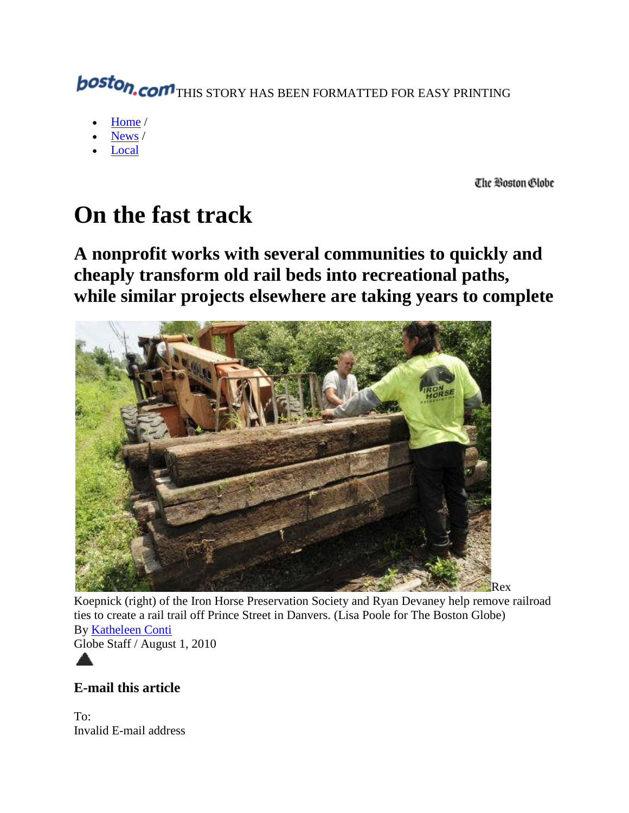# **boston.com** THIS STORY HAS BEEN FORMATTED FOR EASY PRINTING

- Home /
- News /
- Local

The Boston Globe

## **On the fast track**

**A nonprofit works with several communities to quickly and cheaply transform old rail beds into recreational paths, while similar projects elsewhere are taking years to complete**



Koepnick (right) of the Iron Horse Preservation Society and Ryan Devaney help remove railroad ties to create a rail trail off Prince Street in Danvers. (Lisa Poole for The Boston Globe) By Katheleen Conti Globe Staff / August 1, 2010

**E-mail this article**

To: Invalid E-mail address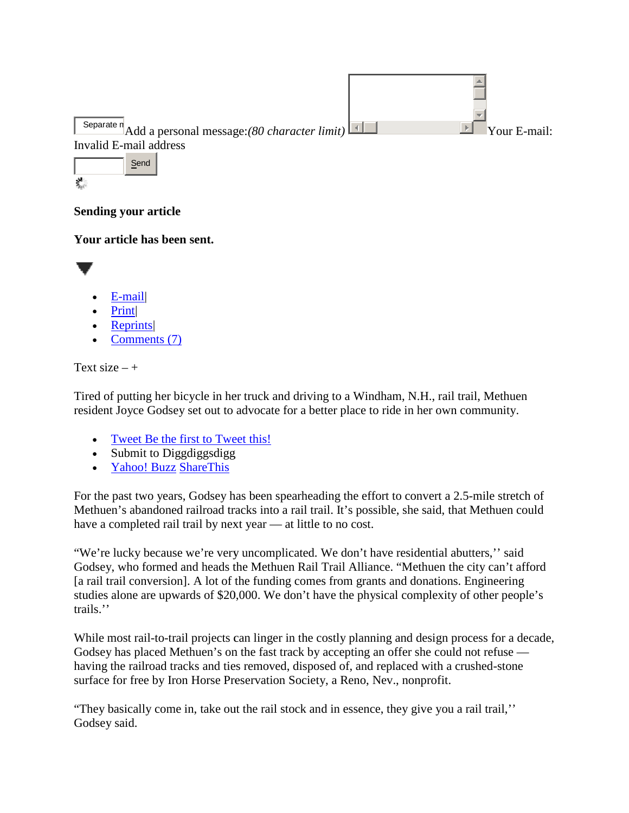

## **Sending your article**

### **Your article has been sent.**



- E-mail|
- Print|
- Reprints|
- Comments (7)

```
Text size - +
```
Tired of putting her bicycle in her truck and driving to a Windham, N.H., rail trail, Methuen resident Joyce Godsey set out to advocate for a better place to ride in her own community.

- Tweet Be the first to Tweet this!
- Submit to Diggdiggs Submit to Diggdiggs of  $\frac{1}{2}$
- Yahoo! Buzz ShareThis

• Tweet Be the first to Tweet this!<br>
• Submit to Diggdiggsdigg<br>
• <u>Yahoo! Buzz ShareThis</u><br>
For the past two years, Godsey has been spearheading the effort to convert a 2.5-mile stretch of Methuen's abandoned railroad tracks into a rail trail. It's possible, she said, that Methuen could have a completed rail trail by next year — at little to no cost.

"We're lucky because we're very uncomplicated. We don't have residential abutters,'' said Godsey, who formed and heads the Methuen Rail Trail Alliance. "Methuen the city can't afford [a rail trail conversion]. A lot of the funding comes from grants and donations. Engineering studies alone are upwards of \$20,000. We don't have the physical complexity of other people's trails.'' "We're lucky because we're very uncomplicated. We don't have residential abutters,'' said<br>Godsey, who formed and heads the Methuen Rail Trail Alliance. "Methuen the city can't afford<br>[a rail trail conversion]. A lot of the

While most rail-to-trail projects can linger in the costly planning and design process for a decade, having the railroad tracks and ties removed, disposed of, and replaced with a crushed-stone<br>surface for free by Iron Horse Preservation Society, a Reno, Nev., nonprofit.<br>"They basically come in, take out the rail stock and surface for free by Iron Horse Preservation Society, a Reno, Nev., nonprofit.

"They basically come in, take out the rail stock and in essence, they give you a rail trail," Godsey said.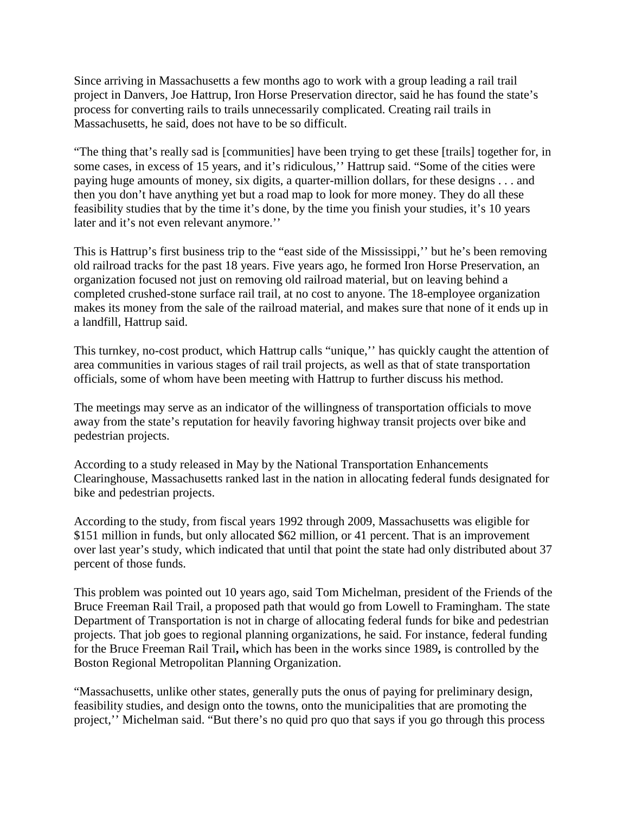Since arriving in Massachusetts a few months ago to work with a group leading a rail trail project in Danvers, Joe Hattrup, Iron Horse Preservation director, said he has found the state's process for converting rails to trails unnecessarily complicated. Creating rail trails in Massachusetts, he said, does not have to be so difficult.

"The thing that's really sad is [communities] have been trying to get these [trails] together for, in some cases, in excess of 15 years, and it's ridiculous,'' Hattrup said. "Some of the cities were paying huge amounts of money, six digits, a quarter-million dollars, for these designs . . . and then you don't have anything yet but a road map to look for more money. They do all these feasibility studies that by the time it's done, by the time you finish your studies, it's 10 years later and it's not even relevant anymore."

This is Hattrup's first business trip to the "east side of the Mississippi,'' but he's been removing old railroad tracks for the past 18 years. Five years ago, he formed Iron Horse Preservation, an organization focused not just on removing old railroad material, but on leaving behind a completed crushed-stone surface rail trail, at no cost to anyone. The 18-employee organization makes its money from the sale of the railroad material, and makes sure that none of it ends up in a landfill, Hattrup said.

This turnkey, no-cost product, which Hattrup calls "unique,'' has quickly caught the attention of area communities in various stages of rail trail projects, as well as that of state transportation officials, some of whom have been meeting with Hattrup to further discuss his method.

The meetings may serve as an indicator of the willingness of transportation officials to move away from the state's reputation for heavily favoring highway transit projects over bike and pedestrian projects.

According to a study released in May by the National Transportation Enhancements Clearinghouse, Massachusetts ranked last in the nation in allocating federal funds designated for bike and pedestrian projects.

According to the study, from fiscal years 1992 through 2009, Massachusetts was eligible for \$151 million in funds, but only allocated \$62 million, or 41 percent. That is an improvement over last year's study, which indicated that until that point the state had only distributed about 37 percent of those funds.

This problem was pointed out 10 years ago, said Tom Michelman, president of the Friends of the Bruce Freeman Rail Trail, a proposed path that would go from Lowell to Framingham. The state Department of Transportation is not in charge of allocating federal funds for bike and pedestrian projects. That job goes to regional planning organizations, he said. For instance, federal funding for the Bruce Freeman Rail Trail**,** which has been in the works since 1989**,** is controlled by the Boston Regional Metropolitan Planning Organization.

"Massachusetts, unlike other states, generally puts the onus of paying for preliminary design, feasibility studies, and design onto the towns, onto the municipalities that are promoting the project,'' Michelman said. "But there's no quid pro quo that says if you go through this process